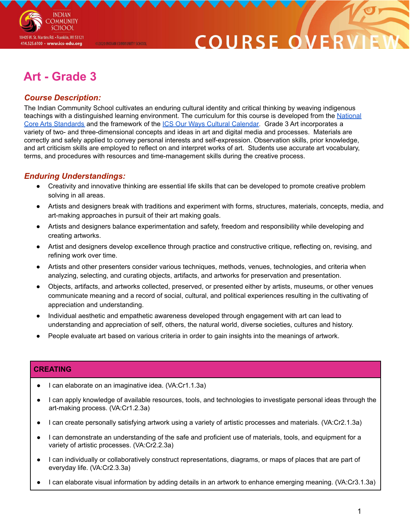

# COURSE O

# **Art - Grade 3**

@2020 INDIAN COMMUNITY SCHOOL

## *Course Description:*

The Indian Community School cultivates an enduring cultural identity and critical thinking by weaving indigenous teachings with a distinguished learning environment. The curriculum for this course is developed from the [National](https://nationalartsstandards.org/sites/default/files/Visual%20Arts%20at%20a%20Glance%20-%20new%20copyright%20info.pdf) Core Arts [Standards](https://nationalartsstandards.org/sites/default/files/Visual%20Arts%20at%20a%20Glance%20-%20new%20copyright%20info.pdf) and the framework of the ICS Our Ways Cultural [Calendar.](https://drive.google.com/open?id=0B7pONXiRIufTT3VHOXBBeG9USHMzbDNIUi1nV0NTbURCMFRZ) Grade 3 Art incorporates a variety of two- and three-dimensional concepts and ideas in art and digital media and processes. Materials are correctly and safely applied to convey personal interests and self-expression. Observation skills, prior knowledge, and art criticism skills are employed to reflect on and interpret works of art. Students use accurate art vocabulary, terms, and procedures with resources and time-management skills during the creative process.

### *Enduring Understandings:*

- Creativity and innovative thinking are essential life skills that can be developed to promote creative problem solving in all areas.
- Artists and designers break with traditions and experiment with forms, structures, materials, concepts, media, and art-making approaches in pursuit of their art making goals.
- Artists and designers balance experimentation and safety, freedom and responsibility while developing and creating artworks.
- Artist and designers develop excellence through practice and constructive critique, reflecting on, revising, and refining work over time.
- Artists and other presenters consider various techniques, methods, venues, technologies, and criteria when analyzing, selecting, and curating objects, artifacts, and artworks for preservation and presentation.
- Objects, artifacts, and artworks collected, preserved, or presented either by artists, museums, or other venues communicate meaning and a record of social, cultural, and political experiences resulting in the cultivating of appreciation and understanding.
- Individual aesthetic and empathetic awareness developed through engagement with art can lead to understanding and appreciation of self, others, the natural world, diverse societies, cultures and history.
- People evaluate art based on various criteria in order to gain insights into the meanings of artwork.

#### **CREATING**

- I can elaborate on an imaginative idea. (VA:Cr1.1.3a)
- I can apply knowledge of available resources, tools, and technologies to investigate personal ideas through the art-making process. (VA:Cr1.2.3a)
- I can create personally satisfying artwork using a variety of artistic processes and materials. (VA:Cr2.1.3a)
- I can demonstrate an understanding of the safe and proficient use of materials, tools, and equipment for a variety of artistic processes. (VA:Cr2.2.3a)
- I can individually or collaboratively construct representations, diagrams, or maps of places that are part of everyday life. (VA:Cr2.3.3a)
- I can elaborate visual information by adding details in an artwork to enhance emerging meaning. (VA:Cr3.1.3a)